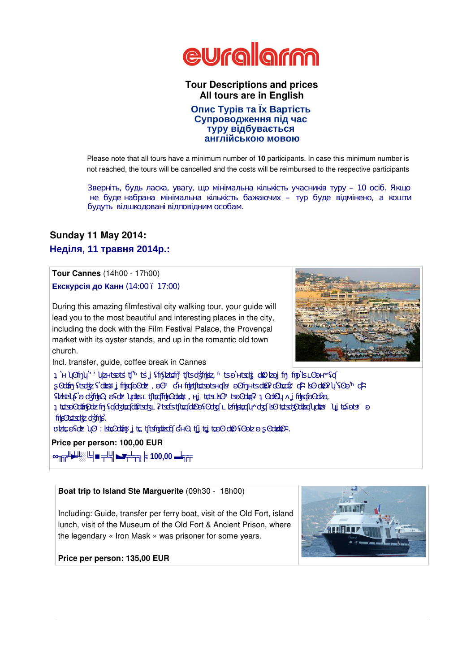

**Tour Descriptions and prices All tours are in English** 

Please note that all tours have a minimum number of **10** participants. In case this minimum number is not reached, the tours will be cancelled and the costs will be reimbursed to the respective participants

зверніть, будь ласка, увагу, так і процентральна кількість, так часть учасників туру – 10 осіб. Якщо так часть

не буде набрана мінімальна мінімальна мінімальна кількість бажає відмінено, а коштинено, а коштинено, а коштин

## **Sunday 11 May 2014:**

**Неділя, 11 травня 2014р.:** 

**Tour Cannes** (14h00 - 17h00)

 $(14:00 - 17:00)$ 

During this amazing filmfestival city walking tour, your guide will lead you to the most beautiful and interesting places in the city, including the dock with the Film Festival Palace, the Provençal market with its oyster stands, and up in the romantic old town church.

будуть відшкодовані відповідним особам.

Incl. transfer, guide, coffee break in Cannes

**Price per person: 100,00 EUR**  Під час цієї чудової пішої екскурсії по місту, що відоме на увесь світ завдяки канському кінофестивалю, ваш гід супроводить ваш гід супроводить ваш гід супроводить ваш гід супроводить ваш г<br>Повещення ваш гід супроводить ваш гід супроводить ваш гід супроводить ваш гід супроводить ваш гід супроводить куточки міста, включно з пристання, де розташований Палац Фестивалів, до розташований Палац Фестивалів, до роз<br>Палац Фестивалів, до розташований Палац Фестивалів, до розташований Палац Фестивалів, до розташований Палац Фе старому місті. Тур включає: трансфер, послуги гіда, перерва на каву в Каннах.

 $\ddots$  100,00



**Boat trip to Island Ste Marguerite** (09h30 - 18h00)

Including: Guide, transfer per ferry boat, visit of the Old Fort, island lunch, visit of the Museum of the Old Fort & Ancient Prison, where the legendary « Iron Mask » was prisoner for some years.

#### **Price per person: 135,00 EUR**